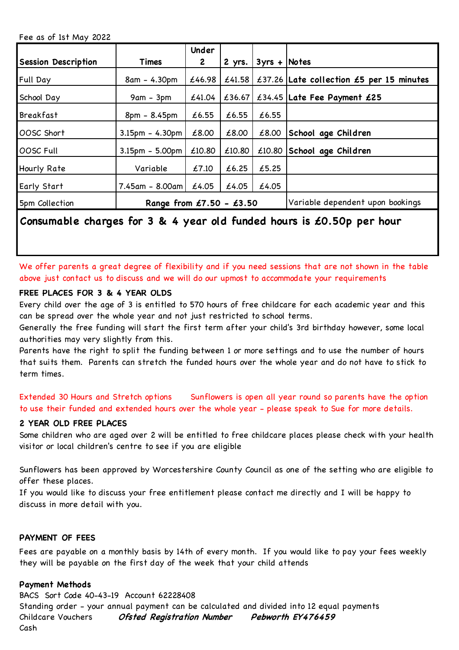Fee as of 1st May 2022

|                            |                            | Under        |        |                 |                                          |
|----------------------------|----------------------------|--------------|--------|-----------------|------------------------------------------|
| <b>Session Description</b> | Times                      | $\mathbf{2}$ | 2 yrs. | $3yrs +  Notes$ |                                          |
| <b>Full Day</b>            | 8am - 4.30pm               | £46.98       | £41.58 |                 | £37.26 Late collection £5 per 15 minutes |
| School Day                 | 9am - 3pm                  | £41.04       | £36.67 |                 | £34.45 Late Fee Payment £25              |
| <b>Breakfast</b>           | 8pm - 8.45pm               | £6.55        | £6.55  | £6.55           |                                          |
| OOSC Short                 | $3.15$ pm – 4.30pm         | £8.00        | £8.00  | £8.00           | School age Children                      |
| OOSC Full                  | $3.15pm - 5.00pm$          | £10.80       | £10.80 |                 | $£10.80$ School age Children             |
| Hourly Rate                | Variable                   | £7.10        | £6.25  | £5.25           |                                          |
| Early Start                | $7.45$ am - 8.00am         | £4.05        | £4.05  | £4.05           |                                          |
| 5pm Collection             | Range from $£7.50 - £3.50$ |              |        |                 | Variable dependent upon bookings         |

# **Consumable charges for 3 & 4 year old funded hours is £0.50p per hour**

We offer parents a great degree of flexibility and if you need sessions that are not shown in the table above just contact us to discuss and we will do our upmost to accommodate your requirements

## **FREE PLACES FOR 3 & 4 YEAR OLDS**

Every child over the age of 3 is entitled to 570 hours of free childcare for each academic year and this can be spread over the whole year and not just restricted to school terms.

Generally the free funding will start the first term after your child's 3rd birthday however, some local authorities may very slightly from this.

Parents have the right to split the funding between 1 or more settings and to use the number of hours that suits them. Parents can stretch the funded hours over the whole year and do not have to stick to term times.

Extended 30 Hours and Stretch options Sunflowers is open all year round so parents have the option to use their funded and extended hours over the whole year - please speak to Sue for more details.

## **2 YEAR OLD FREE PLACES**

Some children who are aged over 2 will be entitled to free childcare places please check with your health visitor or local children's centre to see if you are eligible

Sunflowers has been approved by Worcestershire County Council as one of the setting who are eligible to offer these places.

If you would like to discuss your free entitlement please contact me directly and I will be happy to discuss in more detail with you.

## **PAYMENT OF FEES**

Fees are payable on a monthly basis by 14th of every month. If you would like to pay your fees weekly they will be payable on the first day of the week that your child attends

## **Payment Methods**

BACS Sort Code 40-43-19 Account 62228408 Standing order - your annual payment can be calculated and divided into 12 equal payments Childcare Vouchers Cash **Ofsted Registration Number Pebworth EY476459**